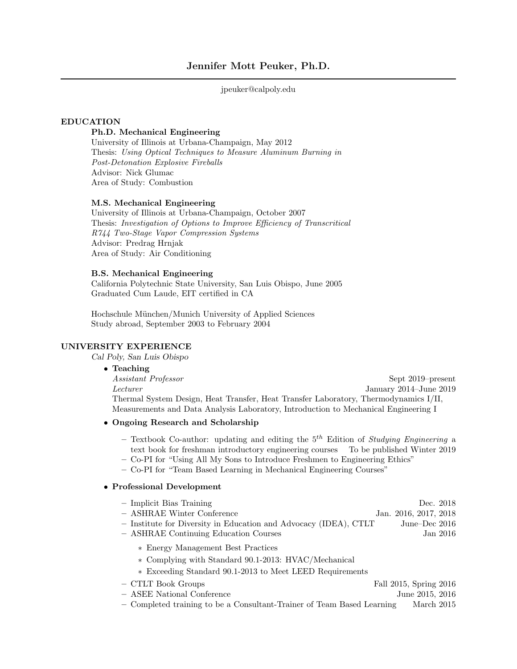## jpeuker@calpoly.edu

### EDUCATION

# Ph.D. Mechanical Engineering

University of Illinois at Urbana-Champaign, May 2012 Thesis: Using Optical Techniques to Measure Aluminum Burning in Post-Detonation Explosive Fireballs Advisor: Nick Glumac Area of Study: Combustion

### M.S. Mechanical Engineering

University of Illinois at Urbana-Champaign, October 2007 Thesis: Investigation of Options to Improve Efficiency of Transcritical R744 Two-Stage Vapor Compression Systems Advisor: Predrag Hrnjak Area of Study: Air Conditioning

### B.S. Mechanical Engineering

California Polytechnic State University, San Luis Obispo, June 2005 Graduated Cum Laude, EIT certified in CA

Hochschule M¨unchen/Munich University of Applied Sciences Study abroad, September 2003 to February 2004

### UNIVERSITY EXPERIENCE

Cal Poly, San Luis Obispo

#### • Teaching

Assistant Professor Sept 2019–present Lecturer January 2014–June 2019 Thermal System Design, Heat Transfer, Heat Transfer Laboratory, Thermodynamics I/II, Measurements and Data Analysis Laboratory, Introduction to Mechanical Engineering I

# • Ongoing Research and Scholarship

- Textbook Co-author: updating and editing the  $5<sup>th</sup>$  Edition of Studying Engineering a text book for freshman introductory engineering courses To be published Winter 2019
- Co-PI for "Using All My Sons to Introduce Freshmen to Engineering Ethics"
- Co-PI for "Team Based Learning in Mechanical Engineering Courses"

### • Professional Development

| $-$ Implicit Bias Training                                                                                                                             | Dec. 2018              |  |
|--------------------------------------------------------------------------------------------------------------------------------------------------------|------------------------|--|
| $-$ ASHRAE Winter Conference                                                                                                                           | Jan. 2016, 2017, 2018  |  |
| - Institute for Diversity in Education and Advocacy (IDEA), CTLT                                                                                       | June–Dec 2016          |  |
| - ASHRAE Continuing Education Courses                                                                                                                  | Jan 2016               |  |
| * Energy Management Best Practices<br>* Complying with Standard 90.1-2013: HVAC/Mechanical<br>* Exceeding Standard 90.1-2013 to Meet LEED Requirements |                        |  |
| - CTLT Book Groups                                                                                                                                     | Fall 2015, Spring 2016 |  |
| - ASEE National Conference                                                                                                                             | June 2015, 2016        |  |

– Completed training to be a Consultant-Trainer of Team Based Learning March 2015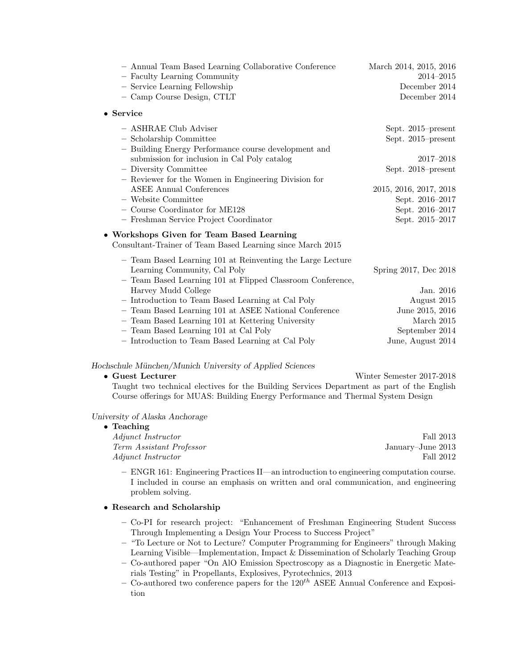| - Annual Team Based Learning Collaborative Conference<br>- Faculty Learning Community<br>- Service Learning Fellowship<br>- Camp Course Design, CTLT                                                                                                                                                                                                                           | March 2014, 2015, 2016<br>2014–2015<br>December 2014<br>December 2014                                                                                          |
|--------------------------------------------------------------------------------------------------------------------------------------------------------------------------------------------------------------------------------------------------------------------------------------------------------------------------------------------------------------------------------|----------------------------------------------------------------------------------------------------------------------------------------------------------------|
| $\bullet$ Service                                                                                                                                                                                                                                                                                                                                                              |                                                                                                                                                                |
| - ASHRAE Club Adviser<br>- Scholarship Committee<br>- Building Energy Performance course development and<br>submission for inclusion in Cal Poly catalog<br>- Diversity Committee<br>- Reviewer for the Women in Engineering Division for<br><b>ASEE Annual Conferences</b><br>- Website Committee<br>- Course Coordinator for ME128<br>- Freshman Service Project Coordinator | Sept. 2015–present<br>Sept. 2015–present<br>2017–2018<br>Sept. 2018–present<br>2015, 2016, 2017, 2018<br>Sept. 2016-2017<br>Sept. 2016–2017<br>Sept. 2015-2017 |
| • Workshops Given for Team Based Learning<br>Consultant-Trainer of Team Based Learning since March 2015                                                                                                                                                                                                                                                                        |                                                                                                                                                                |
| - Team Based Learning 101 at Reinventing the Large Lecture<br>Learning Community, Cal Poly<br>- Team Based Learning 101 at Flipped Classroom Conference,                                                                                                                                                                                                                       | Spring 2017, Dec 2018                                                                                                                                          |
| Harvey Mudd College                                                                                                                                                                                                                                                                                                                                                            | Jan. 2016                                                                                                                                                      |
| - Introduction to Team Based Learning at Cal Poly                                                                                                                                                                                                                                                                                                                              | August 2015                                                                                                                                                    |
| - Team Based Learning 101 at ASEE National Conference                                                                                                                                                                                                                                                                                                                          | June 2015, 2016                                                                                                                                                |
| - Team Based Learning 101 at Kettering University                                                                                                                                                                                                                                                                                                                              | March 2015                                                                                                                                                     |
| - Team Based Learning 101 at Cal Poly                                                                                                                                                                                                                                                                                                                                          | September 2014                                                                                                                                                 |
| - Introduction to Team Based Learning at Cal Poly                                                                                                                                                                                                                                                                                                                              | June, August 2014                                                                                                                                              |

# Hochschule München/Munich University of Applied Sciences

| $\bullet$ Guest Lecturer                                                                   | Winter Semester 2017-2018 |
|--------------------------------------------------------------------------------------------|---------------------------|
| Taught two technical electives for the Building Services Department as part of the English |                           |
| Course offerings for MUAS: Building Energy Performance and Thermal System Design           |                           |

## University of Alaska Anchorage

| $\bullet$ Teaching        |                   |
|---------------------------|-------------------|
| <i>Adjunct Instructor</i> | Fall 2013         |
| Term Assistant Professor  | January–June 2013 |
| <i>Adjunct Instructor</i> | Fall 2012         |

– ENGR 161: Engineering Practices II—an introduction to engineering computation course. I included in course an emphasis on written and oral communication, and engineering problem solving.

# • Research and Scholarship

- Co-PI for research project: "Enhancement of Freshman Engineering Student Success Through Implementing a Design Your Process to Success Project"
- "To Lecture or Not to Lecture? Computer Programming for Engineers" through Making Learning Visible—Implementation, Impact & Dissemination of Scholarly Teaching Group
- Co-authored paper "On AlO Emission Spectroscopy as a Diagnostic in Energetic Materials Testing" in Propellants, Explosives, Pyrotechnics, 2013
- Co-authored two conference papers for the  $120^{th}$  ASEE Annual Conference and Exposition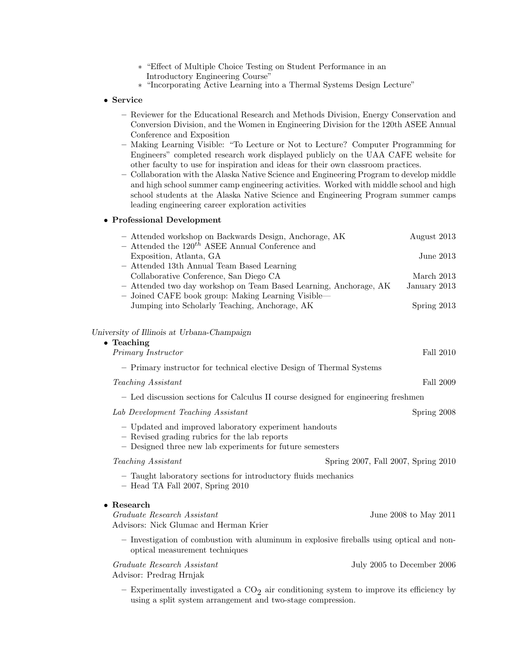- ∗ "Effect of Multiple Choice Testing on Student Performance in an Introductory Engineering Course"
- ∗ "Incorporating Active Learning into a Thermal Systems Design Lecture"

# • Service

- Reviewer for the Educational Research and Methods Division, Energy Conservation and Conversion Division, and the Women in Engineering Division for the 120th ASEE Annual Conference and Exposition
- Making Learning Visible: "To Lecture or Not to Lecture? Computer Programming for Engineers" completed research work displayed publicly on the UAA CAFE website for other faculty to use for inspiration and ideas for their own classroom practices.
- Collaboration with the Alaska Native Science and Engineering Program to develop middle and high school summer camp engineering activities. Worked with middle school and high school students at the Alaska Native Science and Engineering Program summer camps leading engineering career exploration activities

## • Professional Development

| - Attended workshop on Backwards Design, Anchorage, AK<br>- Attended the $120^{th}$ ASEE Annual Conference and                                                      |                                     | August 2013                |
|---------------------------------------------------------------------------------------------------------------------------------------------------------------------|-------------------------------------|----------------------------|
| Exposition, Atlanta, GA                                                                                                                                             |                                     | June 2013                  |
| - Attended 13th Annual Team Based Learning                                                                                                                          |                                     |                            |
| Collaborative Conference, San Diego CA                                                                                                                              |                                     | March 2013                 |
| - Attended two day workshop on Team Based Learning, Anchorage, AK<br>- Joined CAFE book group: Making Learning Visible—                                             |                                     | January 2013               |
| Jumping into Scholarly Teaching, Anchorage, AK                                                                                                                      |                                     | Spring $2013$              |
| University of Illinois at Urbana-Champaign                                                                                                                          |                                     |                            |
| $\bullet$ Teaching                                                                                                                                                  |                                     |                            |
| Primary Instructor                                                                                                                                                  |                                     | Fall 2010                  |
| - Primary instructor for technical elective Design of Thermal Systems                                                                                               |                                     |                            |
| Teaching Assistant                                                                                                                                                  |                                     | Fall 2009                  |
| - Led discussion sections for Calculus II course designed for engineering freshmen                                                                                  |                                     |                            |
| Lab Development Teaching Assistant                                                                                                                                  |                                     | Spring 2008                |
| - Updated and improved laboratory experiment handouts<br>- Revised grading rubrics for the lab reports<br>- Designed three new lab experiments for future semesters |                                     |                            |
| <i>Teaching Assistant</i>                                                                                                                                           | Spring 2007, Fall 2007, Spring 2010 |                            |
| - Taught laboratory sections for introductory fluids mechanics<br>$-$ Head TA Fall 2007, Spring 2010                                                                |                                     |                            |
| $\bullet$ Research                                                                                                                                                  |                                     |                            |
| Graduate Research Assistant<br>Advisors: Nick Glumac and Herman Krier                                                                                               |                                     | June 2008 to May 2011      |
| - Investigation of combustion with aluminum in explosive fireballs using optical and non-<br>optical measurement techniques                                         |                                     |                            |
| Graduate Research Assistant<br>Advisor: Predrag Hrnjak                                                                                                              |                                     | July 2005 to December 2006 |
| $E_{\text{unoumonto}}$ lly investigated a $CO_{\odot}$ air equitioning gystem to improve its efficiency by                                                          |                                     |                            |

 $-$  Experimentally investigated a  $CO<sub>2</sub>$  air conditioning system to improve its efficiency by using a split system arrangement and two-stage compression.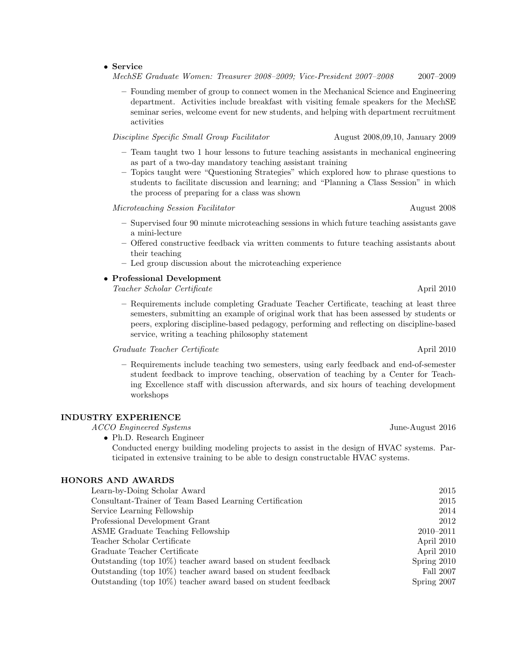#### • Service

MechSE Graduate Women: Treasurer 2008–2009; Vice-President 2007–2008 2007–2009

– Founding member of group to connect women in the Mechanical Science and Engineering department. Activities include breakfast with visiting female speakers for the MechSE seminar series, welcome event for new students, and helping with department recruitment activities

Discipline Specific Small Group Facilitator August 2008,09,10, January 2009

- Team taught two 1 hour lessons to future teaching assistants in mechanical engineering as part of a two-day mandatory teaching assistant training
- Topics taught were "Questioning Strategies" which explored how to phrase questions to students to facilitate discussion and learning; and "Planning a Class Session" in which the process of preparing for a class was shown

Microteaching Session Facilitator August 2008

- Supervised four 90 minute microteaching sessions in which future teaching assistants gave a mini-lecture
- Offered constructive feedback via written comments to future teaching assistants about their teaching
- Led group discussion about the microteaching experience

# • Professional Development

Teacher Scholar Certificate April 2010

– Requirements include completing Graduate Teacher Certificate, teaching at least three semesters, submitting an example of original work that has been assessed by students or peers, exploring discipline-based pedagogy, performing and reflecting on discipline-based service, writing a teaching philosophy statement

Graduate Teacher Certificate April 2010

– Requirements include teaching two semesters, using early feedback and end-of-semester student feedback to improve teaching, observation of teaching by a Center for Teaching Excellence staff with discussion afterwards, and six hours of teaching development workshops

#### INDUSTRY EXPERIENCE

ACCO Engineered Systems June-August 2016

• Ph.D. Research Engineer

Conducted energy building modeling projects to assist in the design of HVAC systems. Participated in extensive training to be able to design constructable HVAC systems.

### HONORS AND AWARDS

| Learn-by-Doing Scholar Award                                      | 2015          |
|-------------------------------------------------------------------|---------------|
| Consultant-Trainer of Team Based Learning Certification           | 2015          |
| Service Learning Fellowship                                       | 2014          |
| Professional Development Grant                                    | 2012          |
| ASME Graduate Teaching Fellowship                                 | $2010 - 2011$ |
| Teacher Scholar Certificate                                       | April 2010    |
| Graduate Teacher Certificate                                      | April 2010    |
| Outstanding (top $10\%$ ) teacher award based on student feedback | Spring 2010   |
| Outstanding (top $10\%$ ) teacher award based on student feedback | Fall 2007     |
| Outstanding (top $10\%$ ) teacher award based on student feedback | Spring 2007   |
|                                                                   |               |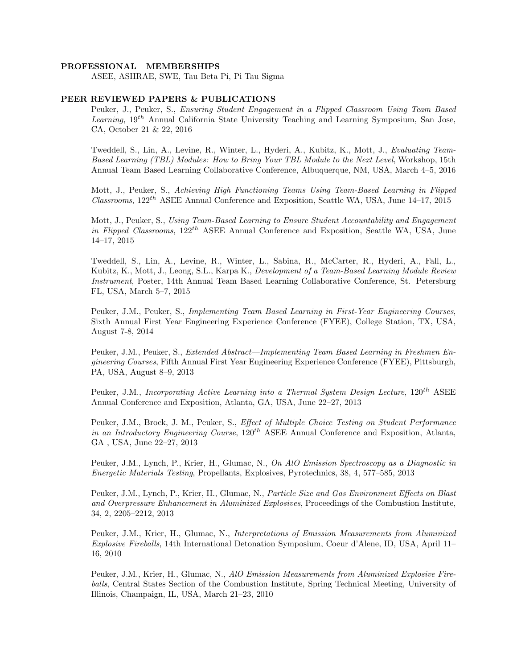#### PROFESSIONAL MEMBERSHIPS

ASEE, ASHRAE, SWE, Tau Beta Pi, Pi Tau Sigma

### PEER REVIEWED PAPERS & PUBLICATIONS

Peuker, J., Peuker, S., Ensuring Student Engagement in a Flipped Classroom Using Team Based *Learning*,  $19^{th}$  Annual California State University Teaching and Learning Symposium, San Jose, CA, October 21 & 22, 2016

Tweddell, S., Lin, A., Levine, R., Winter, L., Hyderi, A., Kubitz, K., Mott, J., Evaluating Team-Based Learning (TBL) Modules: How to Bring Your TBL Module to the Next Level, Workshop, 15th Annual Team Based Learning Collaborative Conference, Albuquerque, NM, USA, March 4–5, 2016

Mott, J., Peuker, S., Achieving High Functioning Teams Using Team-Based Learning in Flipped  $\textit{Classrooms}, 122^{th}$  ASEE Annual Conference and Exposition, Seattle WA, USA, June 14–17, 2015

Mott, J., Peuker, S., Using Team-Based Learning to Ensure Student Accountability and Engagement in Flipped Classrooms,  $122^{th}$  ASEE Annual Conference and Exposition, Seattle WA, USA, June 14–17, 2015

Tweddell, S., Lin, A., Levine, R., Winter, L., Sabina, R., McCarter, R., Hyderi, A., Fall, L., Kubitz, K., Mott, J., Leong, S.L., Karpa K., Development of a Team-Based Learning Module Review Instrument, Poster, 14th Annual Team Based Learning Collaborative Conference, St. Petersburg FL, USA, March 5–7, 2015

Peuker, J.M., Peuker, S., Implementing Team Based Learning in First-Year Engineering Courses, Sixth Annual First Year Engineering Experience Conference (FYEE), College Station, TX, USA, August 7-8, 2014

Peuker, J.M., Peuker, S., Extended Abstract—Implementing Team Based Learning in Freshmen Engineering Courses, Fifth Annual First Year Engineering Experience Conference (FYEE), Pittsburgh, PA, USA, August 8–9, 2013

Peuker, J.M., Incorporating Active Learning into a Thermal System Design Lecture,  $120^{th}$  ASEE Annual Conference and Exposition, Atlanta, GA, USA, June 22–27, 2013

Peuker, J.M., Brock, J. M., Peuker, S., Effect of Multiple Choice Testing on Student Performance in an Introductory Engineering Course,  $120^{th}$  ASEE Annual Conference and Exposition, Atlanta, GA , USA, June 22–27, 2013

Peuker, J.M., Lynch, P., Krier, H., Glumac, N., On AlO Emission Spectroscopy as a Diagnostic in Energetic Materials Testing, Propellants, Explosives, Pyrotechnics, 38, 4, 577–585, 2013

Peuker, J.M., Lynch, P., Krier, H., Glumac, N., Particle Size and Gas Environment Effects on Blast and Overpressure Enhancement in Aluminized Explosives, Proceedings of the Combustion Institute, 34, 2, 2205–2212, 2013

Peuker, J.M., Krier, H., Glumac, N., Interpretations of Emission Measurements from Aluminized Explosive Fireballs, 14th International Detonation Symposium, Coeur d'Alene, ID, USA, April 11– 16, 2010

Peuker, J.M., Krier, H., Glumac, N., AlO Emission Measurements from Aluminized Explosive Fireballs, Central States Section of the Combustion Institute, Spring Technical Meeting, University of Illinois, Champaign, IL, USA, March 21–23, 2010